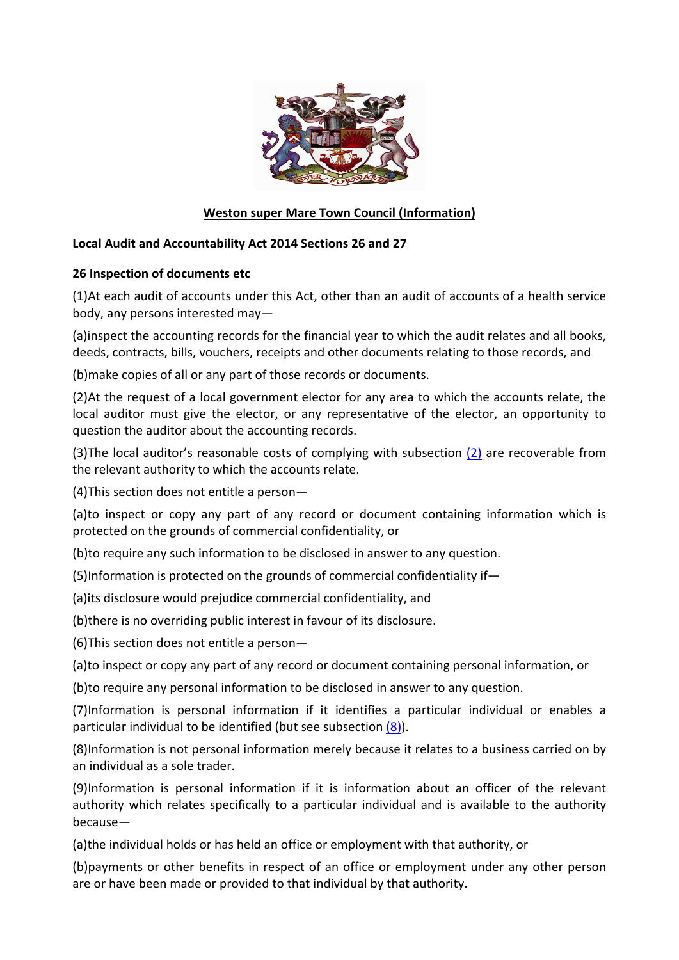

## **Weston super Mare Town Council (Information)**

## **Local Audit and Accountability Act 2014 Sections 26 and 27**

## **26 Inspection of documents etc**

(1)At each audit of accounts under this Act, other than an audit of accounts of a health service body, any persons interested may—

(a)inspect the accounting records for the financial year to which the audit relates and all books, deeds, contracts, bills, vouchers, receipts and other documents relating to those records, and

(b)make copies of all or any part of those records or documents.

(2)At the request of a local government elector for any area to which the accounts relate, the local auditor must give the elector, or any representative of the elector, an opportunity to question the auditor about the accounting records.

(3)The local auditor's reasonable costs of complying with subsection (2) are recoverable from the relevant authority to which the accounts relate.

(4)This section does not entitle a person—

(a)to inspect or copy any part of any record or document containing information which is protected on the grounds of commercial confidentiality, or

(b)to require any such information to be disclosed in answer to any question.

(5)Information is protected on the grounds of commercial confidentiality if—

(a)its disclosure would prejudice commercial confidentiality, and

(b)there is no overriding public interest in favour of its disclosure.

(6)This section does not entitle a person—

(a)to inspect or copy any part of any record or document containing personal information, or

(b)to require any personal information to be disclosed in answer to any question.

(7)Information is personal information if it identifies a particular individual or enables a particular individual to be identified (but see subsection  $(8)$ ).

(8)Information is not personal information merely because it relates to a business carried on by an individual as a sole trader.

(9)Information is personal information if it is information about an officer of the relevant authority which relates specifically to a particular individual and is available to the authority because—

(a)the individual holds or has held an office or employment with that authority, or

(b)payments or other benefits in respect of an office or employment under any other person are or have been made or provided to that individual by that authority.